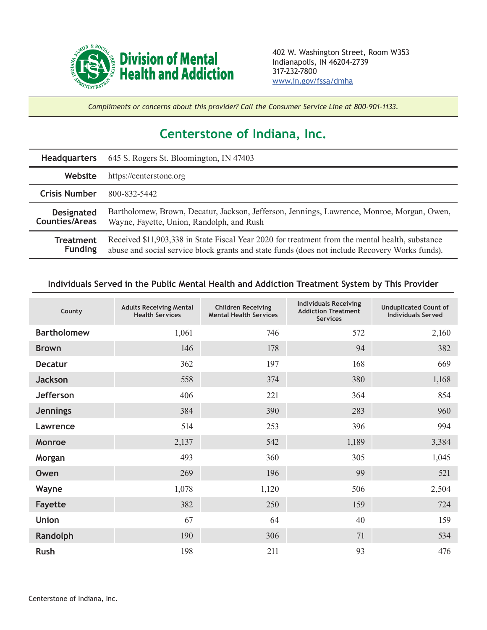

*Compliments or concerns about this provider? Call the Consumer Service Line at 800-901-1133.*

## **Centerstone of Indiana, Inc.**

| <b>Headquarters</b>                        | 645 S. Rogers St. Bloomington, IN 47403                                                                                                                                                           |  |  |
|--------------------------------------------|---------------------------------------------------------------------------------------------------------------------------------------------------------------------------------------------------|--|--|
| Website                                    | https://centerstone.org                                                                                                                                                                           |  |  |
| <b>Crisis Number</b>                       | 800-832-5442                                                                                                                                                                                      |  |  |
| <b>Designated</b><br><b>Counties/Areas</b> | Bartholomew, Brown, Decatur, Jackson, Jefferson, Jennings, Lawrence, Monroe, Morgan, Owen,<br>Wayne, Fayette, Union, Randolph, and Rush                                                           |  |  |
| Treatment<br><b>Funding</b>                | Received \$11,903,338 in State Fiscal Year 2020 for treatment from the mental health, substance<br>abuse and social service block grants and state funds (does not include Recovery Works funds). |  |  |

## **Individuals Served in the Public Mental Health and Addiction Treatment System by This Provider**

| County             | <b>Adults Receiving Mental</b><br><b>Health Services</b> | <b>Children Receiving</b><br><b>Mental Health Services</b> | <b>Individuals Receiving</b><br><b>Addiction Treatment</b><br><b>Services</b> | <b>Unduplicated Count of</b><br><b>Individuals Served</b> |
|--------------------|----------------------------------------------------------|------------------------------------------------------------|-------------------------------------------------------------------------------|-----------------------------------------------------------|
| <b>Bartholomew</b> | 1,061                                                    | 746                                                        | 572                                                                           | 2,160                                                     |
| <b>Brown</b>       | 146                                                      | 178                                                        | 94                                                                            | 382                                                       |
| <b>Decatur</b>     | 362                                                      | 197                                                        | 168                                                                           | 669                                                       |
| <b>Jackson</b>     | 558                                                      | 374                                                        | 380                                                                           | 1,168                                                     |
| <b>Jefferson</b>   | 406                                                      | 221                                                        | 364                                                                           | 854                                                       |
| <b>Jennings</b>    | 384                                                      | 390                                                        | 283                                                                           | 960                                                       |
| Lawrence           | 514                                                      | 253                                                        | 396                                                                           | 994                                                       |
| <b>Monroe</b>      | 2,137                                                    | 542                                                        | 1,189                                                                         | 3,384                                                     |
| Morgan             | 493                                                      | 360                                                        | 305                                                                           | 1,045                                                     |
| Owen               | 269                                                      | 196                                                        | 99                                                                            | 521                                                       |
| Wayne              | 1,078                                                    | 1,120                                                      | 506                                                                           | 2,504                                                     |
| <b>Fayette</b>     | 382                                                      | 250                                                        | 159                                                                           | 724                                                       |
| <b>Union</b>       | 67                                                       | 64                                                         | 40                                                                            | 159                                                       |
| Randolph           | 190                                                      | 306                                                        | 71                                                                            | 534                                                       |
| <b>Rush</b>        | 198                                                      | 211                                                        | 93                                                                            | 476                                                       |